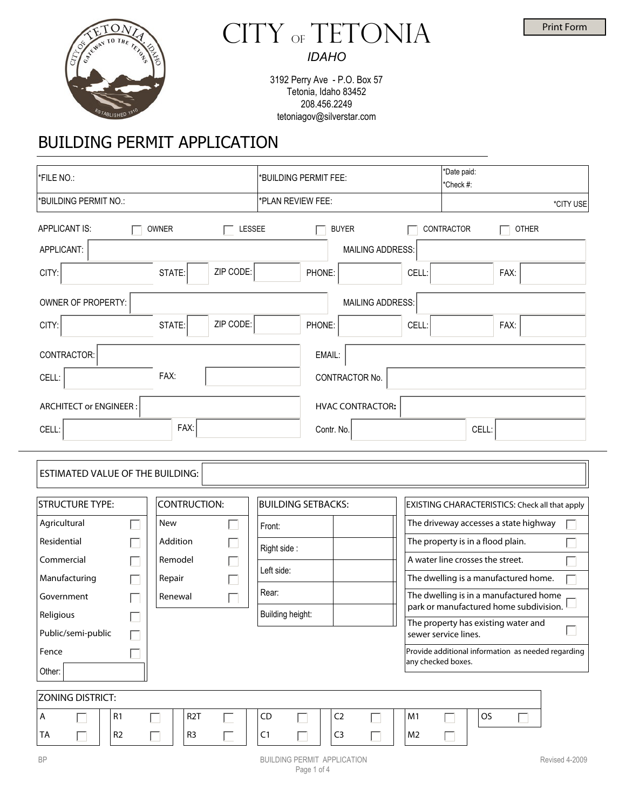



3192 Perry Ave - P.O. Box 57 Tetonia, Idaho 83452 208.456.2249

tetoniagov@silverstar.com

# BUILDING PERMIT APPLICATION

| *FILE NO.:                              |                               | *BUILDING PERMIT FEE:     | *Date paid:<br>*Check #:                                                         |  |  |  |
|-----------------------------------------|-------------------------------|---------------------------|----------------------------------------------------------------------------------|--|--|--|
| *BUILDING PERMIT NO.:                   |                               | *PLAN REVIEW FEE:         | *CITY USE                                                                        |  |  |  |
| APPLICANT IS:                           | <b>OWNER</b><br><b>LESSEE</b> | <b>BUYER</b>              | CONTRACTOR<br><b>OTHER</b>                                                       |  |  |  |
| APPLICANT:                              |                               | <b>MAILING ADDRESS:</b>   |                                                                                  |  |  |  |
| CITY:                                   | ZIP CODE:<br>STATE:           | PHONE:                    | CELL:<br>FAX:                                                                    |  |  |  |
| OWNER OF PROPERTY:                      |                               | MAILING ADDRESS:          |                                                                                  |  |  |  |
| CITY:                                   | ZIP CODE:<br>STATE:           | PHONE:                    | CELL:<br>FAX:                                                                    |  |  |  |
| CONTRACTOR:                             |                               | EMAIL:                    |                                                                                  |  |  |  |
| CELL:                                   | FAX:                          | CONTRACTOR No.            |                                                                                  |  |  |  |
| <b>ARCHITECT or ENGINEER:</b>           |                               | <b>HVAC CONTRACTOR:</b>   |                                                                                  |  |  |  |
| CELL:                                   | FAX:                          | Contr. No.                | CELL:                                                                            |  |  |  |
| <b>ESTIMATED VALUE OF THE BUILDING:</b> |                               |                           |                                                                                  |  |  |  |
| <b>STRUCTURE TYPE:</b>                  | <b>CONTRUCTION:</b>           | <b>BUILDING SETBACKS:</b> | EXISTING CHARACTERISTICS: Check all that apply                                   |  |  |  |
| Agricultural                            | <b>New</b>                    | Front:                    | The driveway accesses a state highway                                            |  |  |  |
| Residential                             | Addition                      | Right side:               | The property is in a flood plain.                                                |  |  |  |
| Commercial                              | Remodel                       | Left side:                | A water line crosses the street.                                                 |  |  |  |
| Manufacturing                           | Repair                        |                           | The dwelling is a manufactured home.                                             |  |  |  |
| Government                              | Renewal                       | Rear:                     | The dwelling is in a manufactured home<br>park or manufactured home subdivision. |  |  |  |
| Religious                               |                               | Building height:          | The property has existing water and                                              |  |  |  |
| Public/semi-public                      |                               |                           | sewer service lines.                                                             |  |  |  |
| Fence                                   |                               |                           | Provide additional information as needed regarding<br>any checked boxes.         |  |  |  |
| Other:                                  |                               |                           |                                                                                  |  |  |  |
| <b>ZONING DISTRICT:</b>                 |                               |                           |                                                                                  |  |  |  |
| Α<br>R1                                 | R <sub>2</sub> T<br>Г         | CD<br>C <sub>2</sub>      | OS<br>M1                                                                         |  |  |  |
| R <sub>2</sub><br>TA                    | R <sub>3</sub>                | C1<br>C <sub>3</sub>      | M <sub>2</sub>                                                                   |  |  |  |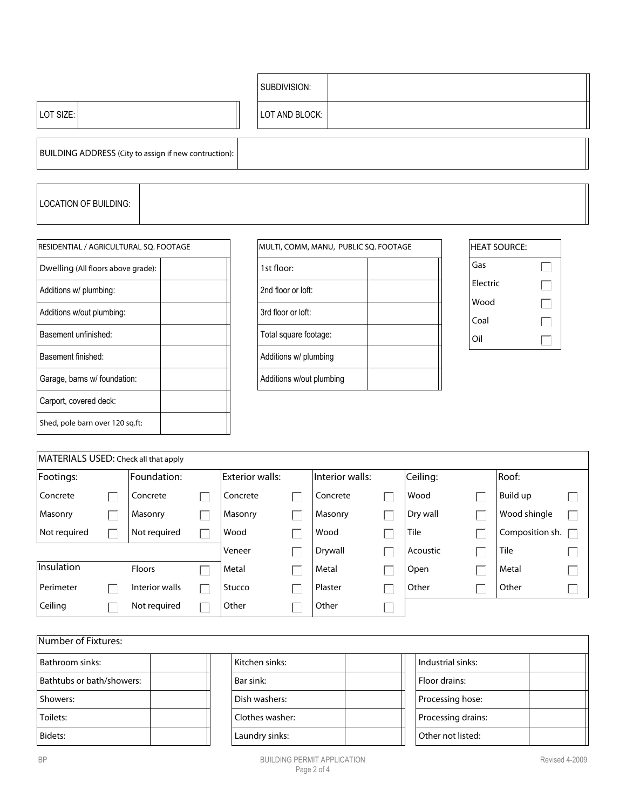|                                                       | SUBDIVISION:   |
|-------------------------------------------------------|----------------|
| LOT SIZE:                                             | LOT AND BLOCK: |
| BUILDING ADDRESS (City to assign if new contruction): |                |

# LOCATION OF BUILDING:

| RESIDENTIAL / AGRICULTURAL SQ. FOOTAGE |  |  |  |  |  |
|----------------------------------------|--|--|--|--|--|
| Dwelling (All floors above grade):     |  |  |  |  |  |
| Additions w/ plumbing:                 |  |  |  |  |  |
| Additions w/out plumbing:              |  |  |  |  |  |
| Basement unfinished:                   |  |  |  |  |  |
| Basement finished:                     |  |  |  |  |  |
| Garage, barns w/ foundation:           |  |  |  |  |  |
| Carport, covered deck:                 |  |  |  |  |  |
| Shed, pole barn over 120 sq.ft:        |  |  |  |  |  |

| MULTI, COMM, MANU, PUBLIC SQ. FOOTAGE |  |  |  |  |  |
|---------------------------------------|--|--|--|--|--|
| 1st floor:                            |  |  |  |  |  |
| 2nd floor or loft:                    |  |  |  |  |  |
| 3rd floor or loft:                    |  |  |  |  |  |
| Total square footage:                 |  |  |  |  |  |
| Additions w/ plumbing                 |  |  |  |  |  |
| Additions w/out plumbing              |  |  |  |  |  |

| <b>HEAT SOURCE:</b> |  |
|---------------------|--|
| Gas                 |  |
| Flectric            |  |
| Wood                |  |
| Coal                |  |
| Oil                 |  |

| MATERIALS USED: Check all that apply |  |                |  |                 |  |                 |  |          |                 |  |
|--------------------------------------|--|----------------|--|-----------------|--|-----------------|--|----------|-----------------|--|
| Footings:                            |  | Foundation:    |  | Exterior walls: |  | Interior walls: |  | Ceiling: | Roof:           |  |
| Concrete                             |  | Concrete       |  | Concrete        |  | Concrete        |  | Wood     | Build up        |  |
| Masonry                              |  | Masonry        |  | Masonry         |  | Masonry         |  | Dry wall | Wood shingle    |  |
| Not required                         |  | Not required   |  | Wood            |  | Wood            |  | Tile     | Composition sh. |  |
|                                      |  |                |  | Veneer          |  | Drywall         |  | Acoustic | Tile            |  |
| lInsulation                          |  | <b>Floors</b>  |  | Metal           |  | Metal           |  | Open     | Metal           |  |
| Perimeter                            |  | Interior walls |  | Stucco          |  | Plaster         |  | Other    | Other           |  |
| Ceiling                              |  | Not required   |  | Other           |  | Other           |  |          |                 |  |

| Number of Fixtures:       |                 |                    |  |  |  |  |
|---------------------------|-----------------|--------------------|--|--|--|--|
| Bathroom sinks:           | Kitchen sinks:  | Industrial sinks:  |  |  |  |  |
| Bathtubs or bath/showers: | Bar sink:       | Floor drains:      |  |  |  |  |
| Showers:                  | Dish washers:   | Processing hose:   |  |  |  |  |
| Toilets:                  | Clothes washer: | Processing drains: |  |  |  |  |
| Bidets:                   | Laundry sinks:  | Other not listed:  |  |  |  |  |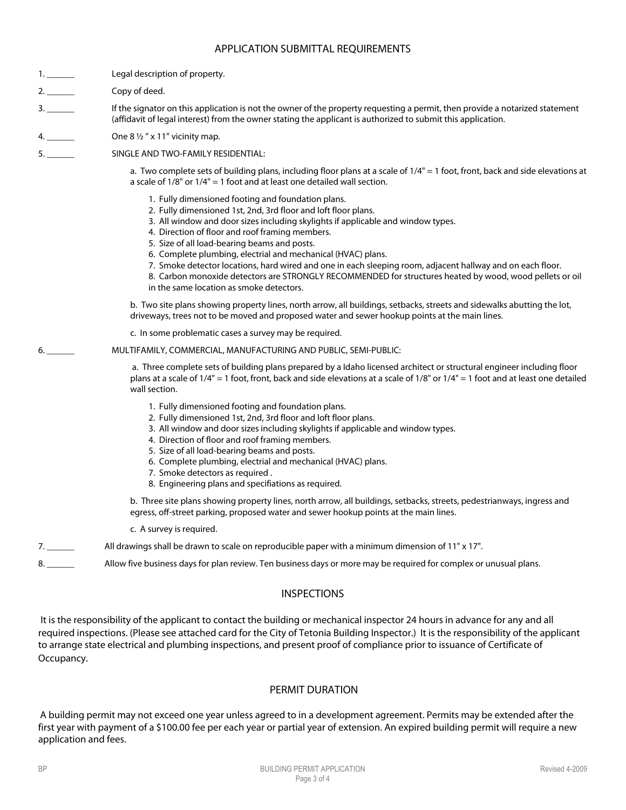## APPLICATION SUBMITTAL REQUIREMENTS

2. Copy of deed.

3. \_\_\_\_\_\_ If the signator on this application is not the owner of the property requesting a permit, then provide a notarized statement (affidavit of legal interest) from the owner stating the applicant is authorized to submit this application.

4. \_\_\_\_\_\_ One 8 ½ " x 11" vicinity map.

5. \_\_\_\_\_\_ SINGLE AND TWO-FAMILY RESIDENTIAL:

a. Two complete sets of building plans, including floor plans at a scale of 1/4" = 1 foot, front, back and side elevations at a scale of  $1/8$ " or  $1/4$ " = 1 foot and at least one detailed wall section.

- 1. Fully dimensioned footing and foundation plans.
- 2. Fully dimensioned 1st, 2nd, 3rd floor and loft floor plans.
- 3. All window and door sizes including skylights if applicable and window types.
- 4. Direction of floor and roof framing members.
- 5. Size of all load-bearing beams and posts.
- 6. Complete plumbing, electrial and mechanical (HVAC) plans.
- 7. Smoke detector locations, hard wired and one in each sleeping room, adjacent hallway and on each floor.
- 8. Carbon monoxide detectors are STRONGLY RECOMMENDED for structures heated by wood, wood pellets or oil in the same location as smoke detectors.

b. Two site plans showing property lines, north arrow, all buildings, setbacks, streets and sidewalks abutting the lot, driveways, trees not to be moved and proposed water and sewer hookup points at the main lines.

c. In some problematic cases a survey may be required.

#### 6. \_\_\_\_\_\_ MULTIFAMILY, COMMERCIAL, MANUFACTURING AND PUBLIC, SEMI-PUBLIC:

 a. Three complete sets of building plans prepared by a Idaho licensed architect or structural engineer including floor plans at a scale of 1/4" = 1 foot, front, back and side elevations at a scale of 1/8" or 1/4" = 1 foot and at least one detailed wall section.

- 1. Fully dimensioned footing and foundation plans.
- 2. Fully dimensioned 1st, 2nd, 3rd floor and loft floor plans.
- 3. All window and door sizes including skylights if applicable and window types.
- 4. Direction of floor and roof framing members.
- 5. Size of all load-bearing beams and posts.
- 6. Complete plumbing, electrial and mechanical (HVAC) plans.
- 7. Smoke detectors as required .
- 8. Engineering plans and specifiations as required.

b. Three site plans showing property lines, north arrow, all buildings, setbacks, streets, pedestrianways, ingress and egress, off-street parking, proposed water and sewer hookup points at the main lines.

- c. A survey is required.
- 7. \_\_\_\_\_\_ All drawings shall be drawn to scale on reproducible paper with a minimum dimension of 11" x 17".
- 8. \_\_\_\_\_\_ Allow five business days for plan review. Ten business days or more may be required for complex or unusual plans.

## INSPECTIONS

It is the responsibility of the applicant to contact the building or mechanical inspector 24 hours in advance for any and all required inspections. (Please see attached card for the City of Tetonia Building Inspector.) It is the responsibility of the applicant to arrange state electrical and plumbing inspections, and present proof of compliance prior to issuance of Certificate of Occupancy.

# PERMIT DURATION

A building permit may not exceed one year unless agreed to in a development agreement. Permits may be extended after the first year with payment of a \$100.00 fee per each year or partial year of extension. An expired building permit will require a new application and fees.